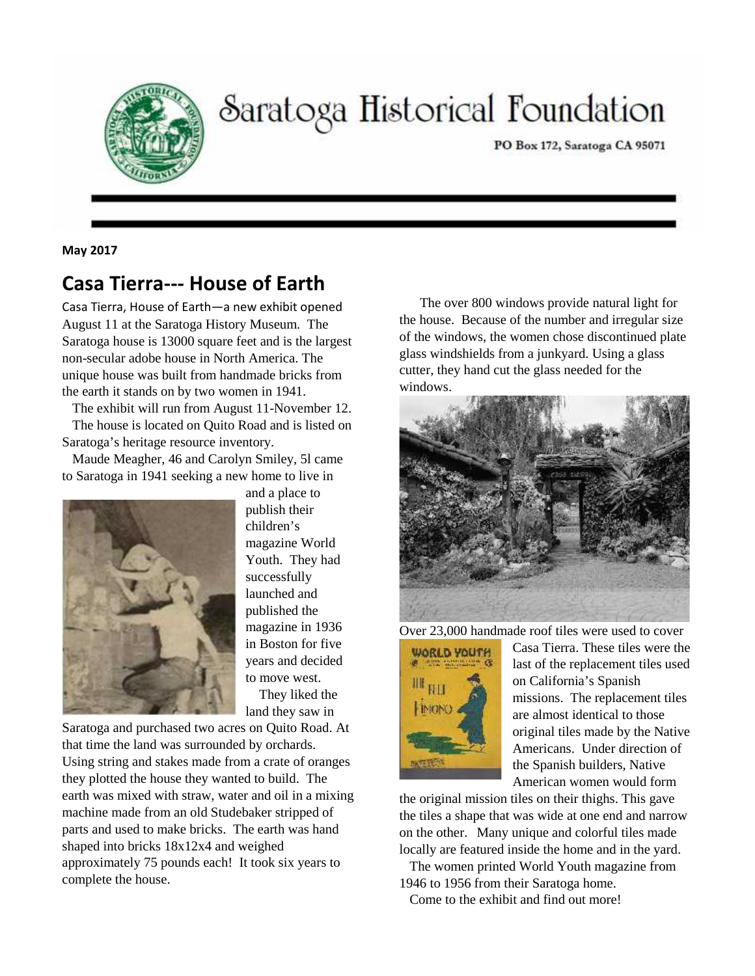

# Saratoga Historical Foundation

PO Box 172, Saratoga CA 95071

**May 2017**

# **Casa Tierra--- House of Earth**

Casa Tierra, House of Earth—a new exhibit opened August 11 at the Saratoga History Museum. The Saratoga house is 13000 square feet and is the largest non-secular adobe house in North America. The unique house was built from handmade bricks from the earth it stands on by two women in 1941.

The exhibit will run from August 11-November 12. The house is located on Quito Road and is listed on Saratoga's heritage resource inventory.

Maude Meagher, 46 and Carolyn Smiley, 5l came to Saratoga in 1941 seeking a new home to live in



and a place to publish their children's magazine World Youth. They had successfully launched and published the magazine in 1936 in Boston for five years and decided to move west. They liked the

land they saw in Saratoga and purchased two acres on Quito Road. At that time the land was surrounded by orchards. Using string and stakes made from a crate of oranges they plotted the house they wanted to build. The earth was mixed with straw, water and oil in a mixing machine made from an old Studebaker stripped of parts and used to make bricks. The earth was hand shaped into bricks 18x12x4 and weighed approximately 75 pounds each! It took six years to complete the house.

The over 800 windows provide natural light for the house. Because of the number and irregular size of the windows, the women chose discontinued plate glass windshields from a junkyard. Using a glass cutter, they hand cut the glass needed for the windows.



Over 23,000 handmade roof tiles were used to cover



Casa Tierra. These tiles were the last of the replacement tiles used on California's Spanish missions. The replacement tiles are almost identical to those original tiles made by the Native Americans. Under direction of the Spanish builders, Native American women would form

the original mission tiles on their thighs. This gave the tiles a shape that was wide at one end and narrow on the other. Many unique and colorful tiles made locally are featured inside the home and in the yard.

The women printed World Youth magazine from 1946 to 1956 from their Saratoga home.

Come to the exhibit and find out more!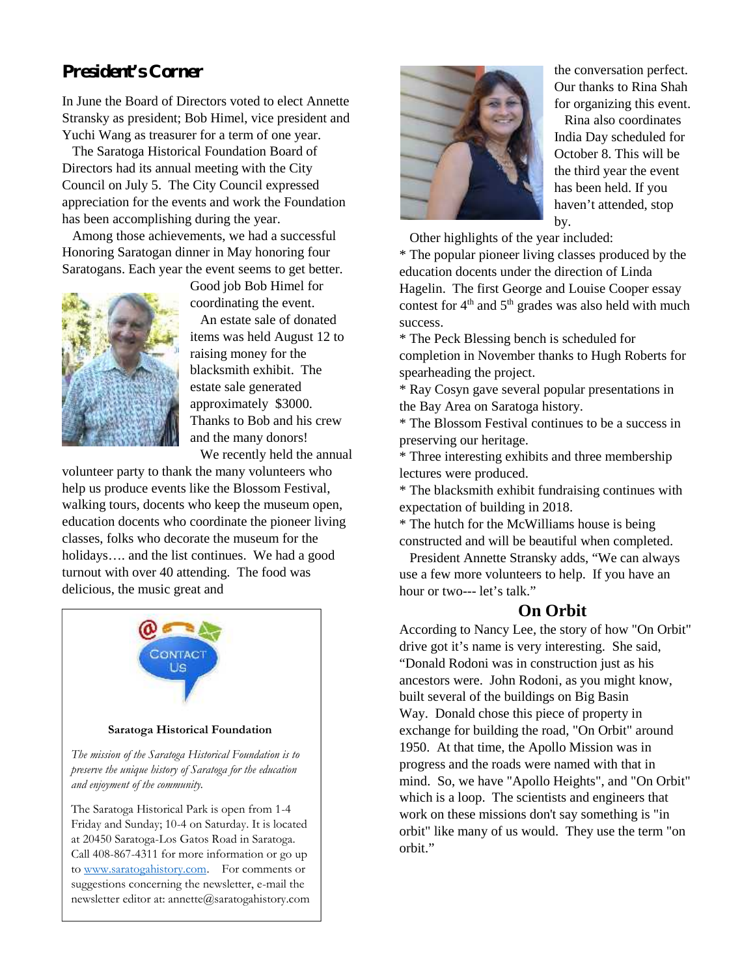## **President's Corner**

In June the Board of Directors voted to elect Annette Stransky as president; Bob Himel, vice president and Yuchi Wang as treasurer for a term of one year.

The Saratoga Historical Foundation Board of Directors had its annual meeting with the City Council on July 5. The City Council expressed appreciation for the events and work the Foundation has been accomplishing during the year.

Among those achievements, we had a successful Honoring Saratogan dinner in May honoring four Saratogans. Each year the event seems to get better.



Good job Bob Himel for coordinating the event.

An estate sale of donated items was held August 12 to raising money for the blacksmith exhibit. The estate sale generated approximately \$3000. Thanks to Bob and his crew and the many donors! We recently held the annual

volunteer party to thank the many volunteers who help us produce events like the Blossom Festival, walking tours, docents who keep the museum open, education docents who coordinate the pioneer living classes, folks who decorate the museum for the holidays.... and the list continues. We had a good turnout with over 40 attending. The food was delicious, the music great and



**Saratoga Historical Foundation**

*The mission of the Saratoga Historical Foundation is to preserve the unique history of Saratoga for the education and enjoyment of the community.*

The Saratoga Historical Park is open from 1-4 Friday and Sunday; 10-4 on Saturday. It is located at 20450 Saratoga-Los Gatos Road in Saratoga. Call 408-867-4311 for more information or go up to www.saratogahistory.com. For comments or suggestions concerning the newsletter, e-mail the newsletter editor at: annette@saratogahistory.com



the conversation perfect. Our thanks to Rina Shah for organizing this event.

Rina also coordinates India Day scheduled for October 8. This will be the third year the event has been held. If you haven't attended, stop by.

Other highlights of the year included:

\* The popular pioneer living classes produced by the education docents under the direction of Linda Hagelin. The first George and Louise Cooper essay contest for  $4<sup>th</sup>$  and  $5<sup>th</sup>$  grades was also held with much success.

\* The Peck Blessing bench is scheduled for completion in November thanks to Hugh Roberts for spearheading the project.

\* Ray Cosyn gave several popular presentations in the Bay Area on Saratoga history.

\* The Blossom Festival continues to be a success in preserving our heritage.

\* Three interesting exhibits and three membership lectures were produced.

\* The blacksmith exhibit fundraising continues with expectation of building in 2018.

\* The hutch for the McWilliams house is being constructed and will be beautiful when completed.

President Annette Stransky adds, "We can always use a few more volunteers to help. If you have an hour or two--- let's talk."

## **On Orbit**

According to Nancy Lee, the story of how "On Orbit" drive got it's name is very interesting. She said, "Donald Rodoni was in construction just as his ancestors were. John Rodoni, as you might know, built several of the buildings on Big Basin Way. Donald chose this piece of property in exchange for building the road, "On Orbit" around 1950. At that time, the Apollo Mission was in progress and the roads were named with that in mind. So, we have "Apollo Heights", and "On Orbit" which is a loop. The scientists and engineers that work on these missions don't say something is "in orbit" like many of us would. They use the term "on orbit."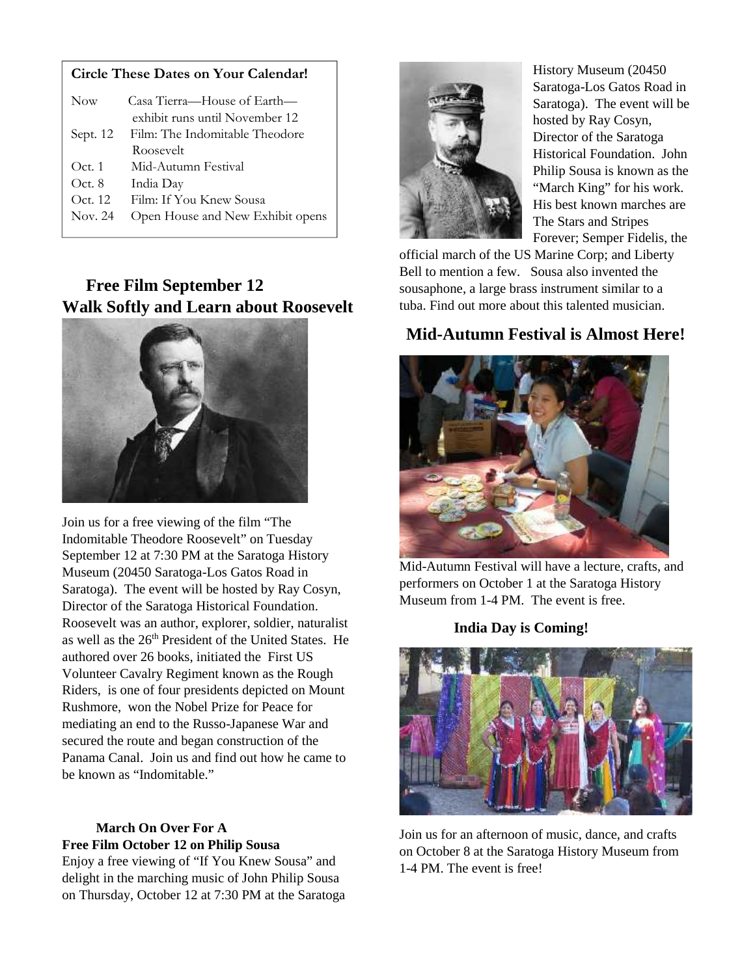#### **Circle These Dates on Your Calendar!**

| <b>Now</b> | Casa Tierra—House of Earth—      |  |
|------------|----------------------------------|--|
|            | exhibit runs until November 12   |  |
| Sept. 12   | Film: The Indomitable Theodore   |  |
|            | Roosevelt                        |  |
| Oct.1      | Mid-Autumn Festival              |  |
| Oct. 8     | India Day                        |  |
| Oct. 12    | Film: If You Knew Sousa          |  |
| Nov. 24    | Open House and New Exhibit opens |  |
|            |                                  |  |

## **Free Film September 12 Walk Softly and Learn about Roosevelt**



Join us for a free viewing of the film "The Indomitable Theodore Roosevelt" on Tuesday September 12 at 7:30 PM at the Saratoga History Museum (20450 Saratoga-Los Gatos Road in Saratoga). The event will be hosted by Ray Cosyn, Director of the Saratoga Historical Foundation. Roosevelt was an author, explorer, soldier, naturalist as well as the 26<sup>th</sup> President of the United States. He authored over 26 books, initiated the First US Volunteer Cavalry Regiment known as the Rough Riders, is one of four presidents depicted on Mount Rushmore, won the Nobel Prize for Peace for mediating an end to the Russo-Japanese War and secured the route and began construction of the Panama Canal. Join us and find out how he came to be known as "Indomitable."

#### **March On Over For A Free Film October 12 on Philip Sousa**

Enjoy a free viewing of "If You Knew Sousa" and delight in the marching music of John Philip Sousa on Thursday, October 12 at 7:30 PM at the Saratoga



History Museum (20450 Saratoga-Los Gatos Road in Saratoga). The event will be hosted by Ray Cosyn, Director of the Saratoga Historical Foundation. John Philip Sousa is known as the "March King" for his work. His best known marches are The Stars and Stripes Forever; Semper Fidelis, the

official march of the US Marine Corp; and Liberty Bell to mention a few. Sousa also invented the sousaphone, a large brass instrument similar to a tuba. Find out more about this talented musician.

# **Mid-Autumn Festival is Almost Here!**



Mid-Autumn Festival will have a lecture, crafts, and performers on October 1 at the Saratoga History Museum from 1-4 PM. The event is free.

**India Day is Coming!**



Join us for an afternoon of music, dance, and crafts on October 8 at the Saratoga History Museum from 1-4 PM. The event is free!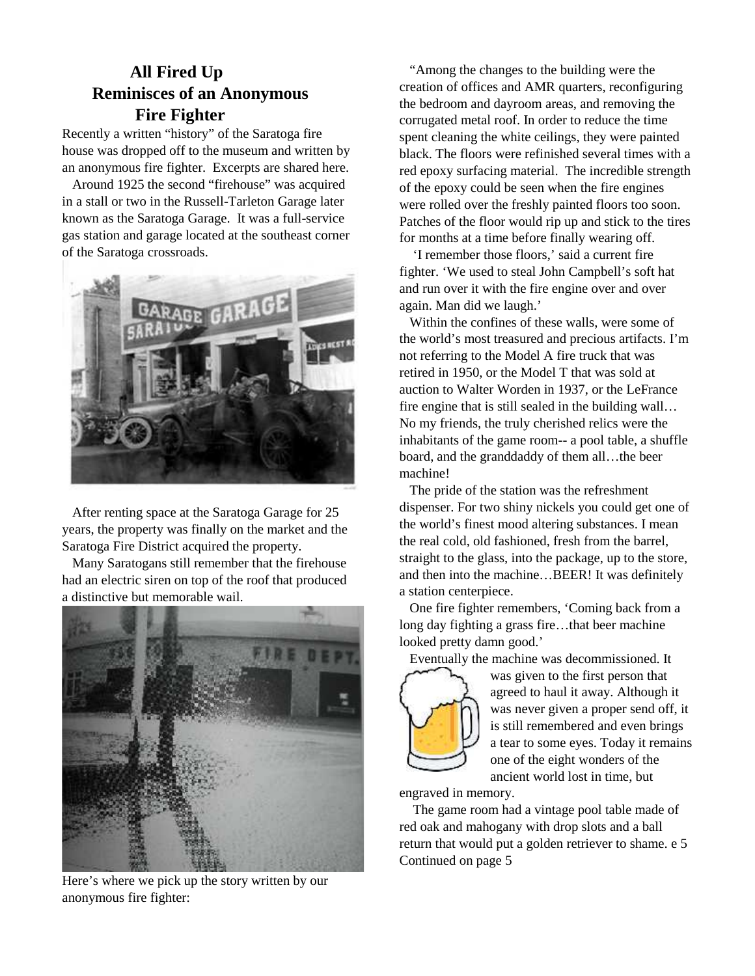## **All Fired Up Reminisces of an Anonymous Fire Fighter**

Recently a written "history" of the Saratoga fire house was dropped off to the museum and written by an anonymous fire fighter. Excerpts are shared here.

Around 1925 the second "firehouse" was acquired in a stall or two in the Russell-Tarleton Garage later known as the Saratoga Garage. It was a full-service gas station and garage located at the southeast corner of the Saratoga crossroads.



After renting space at the Saratoga Garage for 25 years, the property was finally on the market and the Saratoga Fire District acquired the property.

Many Saratogans still remember that the firehouse had an electric siren on top of the roof that produced a distinctive but memorable wail.



Here's where we pick up the story written by our anonymous fire fighter:

"Among the changes to the building were the creation of offices and AMR quarters, reconfiguring the bedroom and dayroom areas, and removing the corrugated metal roof. In order to reduce the time spent cleaning the white ceilings, they were painted black. The floors were refinished several times with a red epoxy surfacing material. The incredible strength of the epoxy could be seen when the fire engines were rolled over the freshly painted floors too soon. Patches of the floor would rip up and stick to the tires for months at a time before finally wearing off.

'I remember those floors,' said a current fire fighter. 'We used to steal John Campbell's soft hat and run over it with the fire engine over and over again. Man did we laugh.'

Within the confines of these walls, were some of the world's most treasured and precious artifacts. I'm not referring to the Model A fire truck that was retired in 1950, or the Model T that was sold at auction to Walter Worden in 1937, or the LeFrance fire engine that is still sealed in the building wall… No my friends, the truly cherished relics were the inhabitants of the game room-- a pool table, a shuffle board, and the granddaddy of them all…the beer machine!

The pride of the station was the refreshment dispenser. For two shiny nickels you could get one of the world's finest mood altering substances. I mean the real cold, old fashioned, fresh from the barrel, straight to the glass, into the package, up to the store, and then into the machine…BEER! It was definitely a station centerpiece.

One fire fighter remembers, 'Coming back from a long day fighting a grass fire…that beer machine looked pretty damn good.'

Eventually the machine was decommissioned. It



was given to the first person that agreed to haul it away. Although it was never given a proper send off, it is still remembered and even brings a tear to some eyes. Today it remains one of the eight wonders of the ancient world lost in time, but

engraved in memory.

The game room had a vintage pool table made of red oak and mahogany with drop slots and a ball return that would put a golden retriever to shame. e 5 Continued on page 5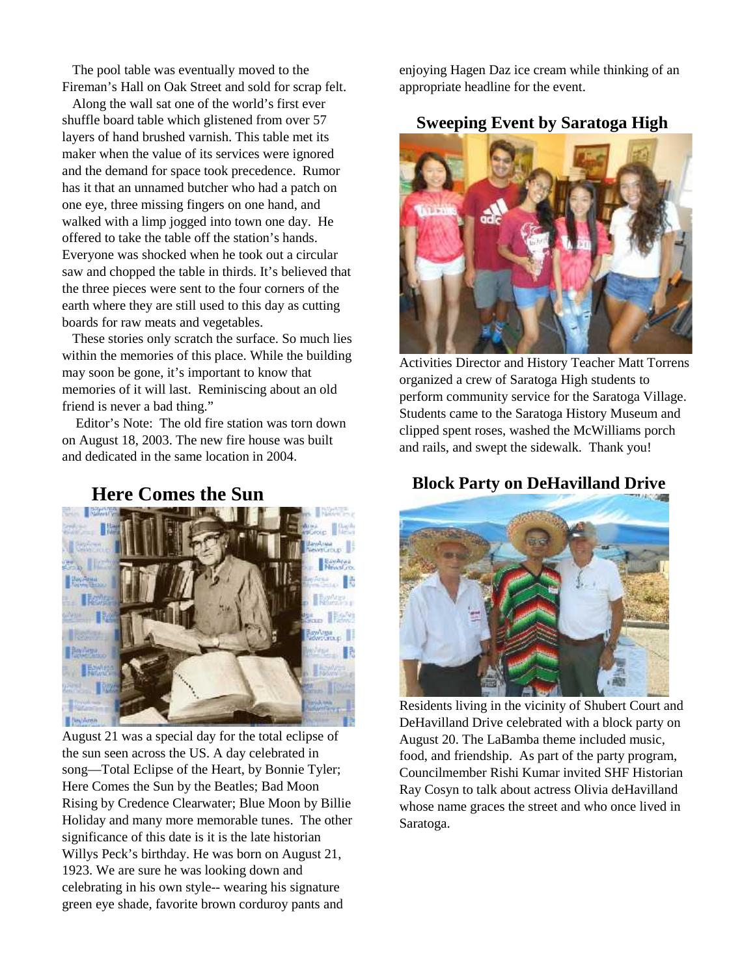The pool table was eventually moved to the Fireman's Hall on Oak Street and sold for scrap felt.

Along the wall sat one of the world's first ever shuffle board table which glistened from over 57 layers of hand brushed varnish. This table met its maker when the value of its services were ignored and the demand for space took precedence. Rumor has it that an unnamed butcher who had a patch on one eye, three missing fingers on one hand, and walked with a limp jogged into town one day. He offered to take the table off the station's hands. Everyone was shocked when he took out a circular saw and chopped the table in thirds. It's believed that the three pieces were sent to the four corners of the earth where they are still used to this day as cutting boards for raw meats and vegetables.

These stories only scratch the surface. So much lies within the memories of this place. While the building may soon be gone, it's important to know that memories of it will last. Reminiscing about an old friend is never a bad thing."

Editor's Note: The old fire station was torn down on August 18, 2003. The new fire house was built and dedicated in the same location in 2004.

## **Here Comes the Sun**



August 21 was a special day for the total eclipse of the sun seen across the US. A day celebrated in song—Total Eclipse of the Heart, by Bonnie Tyler; Here Comes the Sun by the Beatles; Bad Moon Rising by Credence Clearwater; Blue Moon by Billie Holiday and many more memorable tunes. The other significance of this date is it is the late historian Willys Peck's birthday. He was born on August 21, 1923. We are sure he was looking down and celebrating in his own style-- wearing his signature green eye shade, favorite brown corduroy pants and

enjoying Hagen Daz ice cream while thinking of an appropriate headline for the event.

#### **Sweeping Event by Saratoga High**



Activities Director and History Teacher Matt Torrens organized a crew of Saratoga High students to perform community service for the Saratoga Village. Students came to the Saratoga History Museum and clipped spent roses, washed the McWilliams porch and rails, and swept the sidewalk. Thank you!

## **Block Party on DeHavilland Drive**



Residents living in the vicinity of Shubert Court and DeHavilland Drive celebrated with a block party on August 20. The LaBamba theme included music, food, and friendship. As part of the party program, Councilmember Rishi Kumar invited SHF Historian Ray Cosyn to talk about actress Olivia deHavilland whose name graces the street and who once lived in Saratoga.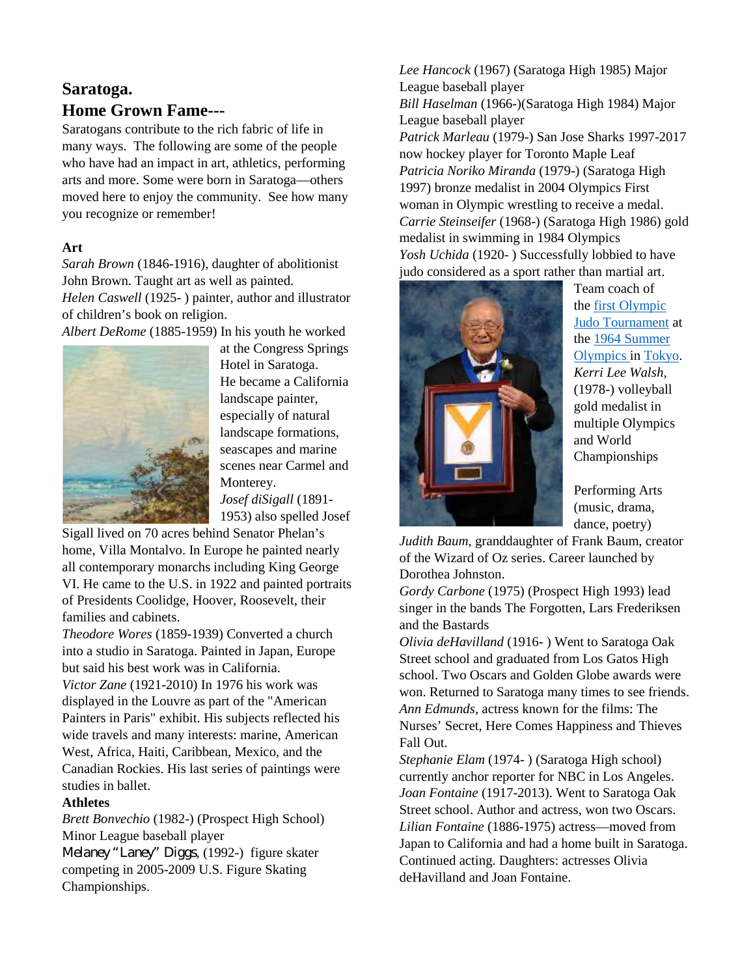## **Saratoga. Home Grown Fame---**

Saratogans contribute to the rich fabric of life in many ways. The following are some of the people who have had an impact in art, athletics, performing arts and more. Some were born in Saratoga—others moved here to enjoy the community. See how many you recognize or remember!

#### **Art**

*Sarah Brown* (1846-1916), daughter of abolitionist John Brown. Taught art as well as painted. *Helen Caswell* (1925- ) painter, author and illustrator of children's book on religion.

*Albert DeRome* (1885-1959) In his youth he worked



at the Congress Springs Hotel in Saratoga. He became a California landscape painter, especially of natural landscape formations, seascapes and marine scenes near Carmel and Monterey. *Josef diSigall* (1891-

1953) also spelled Josef

Sigall lived on 70 acres behind Senator Phelan's home, Villa Montalvo. In Europe he painted nearly all contemporary monarchs including King George VI. He came to the U.S. in 1922 and painted portraits of Presidents Coolidge, Hoover, Roosevelt, their families and cabinets.

*Theodore Wores* (1859-1939) Converted a church into a studio in Saratoga. Painted in Japan, Europe but said his best work was in California.

*Victor Zane* (1921-2010) In 1976 his work was displayed in the Louvre as part of the "American Painters in Paris" exhibit. His subjects reflected his wide travels and many interests: marine, American West, Africa, Haiti, Caribbean, Mexico, and the Canadian Rockies. His last series of paintings were studies in ballet.

#### **Athletes**

*Brett Bonvechio* (1982-) (Prospect High School) Minor League baseball player

*Melaney "Laney" Diggs*, (1992-) figure skater competing in 2005-2009 U.S. Figure Skating Championships.

*Lee Hancock* (1967) (Saratoga High 1985) Major League baseball player *Bill Haselman* (1966-)(Saratoga High 1984) Major League baseball player *Patrick Marleau* (1979-) San Jose Sharks 1997-2017 now hockey player for Toronto Maple Leaf *Patricia Noriko Miranda* (1979-) (Saratoga High 1997) bronze medalist in 2004 Olympics First woman in Olympic wrestling to receive a medal. *Carrie Steinseifer* (1968-) (Saratoga High 1986) gold medalist in swimming in 1984 Olympics *Yosh Uchida* (1920- ) Successfully lobbied to have judo considered as a sport rather than martial art.



Team coach of the first Olympic Judo Tournament at the 1964 Summer Olympics in Tokyo. *Kerri Lee Walsh*, (1978-) volleyball gold medalist in multiple Olympics and World Championships

Performing Arts (music, drama, dance, poetry)

*Judith Baum,* granddaughter of Frank Baum, creator of the Wizard of Oz series. Career launched by Dorothea Johnston.

*Gordy Carbone* (1975) (Prospect High 1993) lead singer in the bands The Forgotten, Lars Frederiksen and the Bastards

*Olivia deHavilland* (1916- ) Went to Saratoga Oak Street school and graduated from Los Gatos High school. Two Oscars and Golden Globe awards were won. Returned to Saratoga many times to see friends. *Ann Edmunds*, actress known for the films: The Nurses' Secret, Here Comes Happiness and Thieves Fall Out.

*Stephanie Elam* (1974- ) (Saratoga High school) currently anchor reporter for NBC in Los Angeles. *Joan Fontaine* (1917-2013). Went to Saratoga Oak Street school. Author and actress, won two Oscars. *Lilian Fontaine* (1886-1975) actress—moved from Japan to California and had a home built in Saratoga. Continued acting. Daughters: actresses Olivia deHavilland and Joan Fontaine.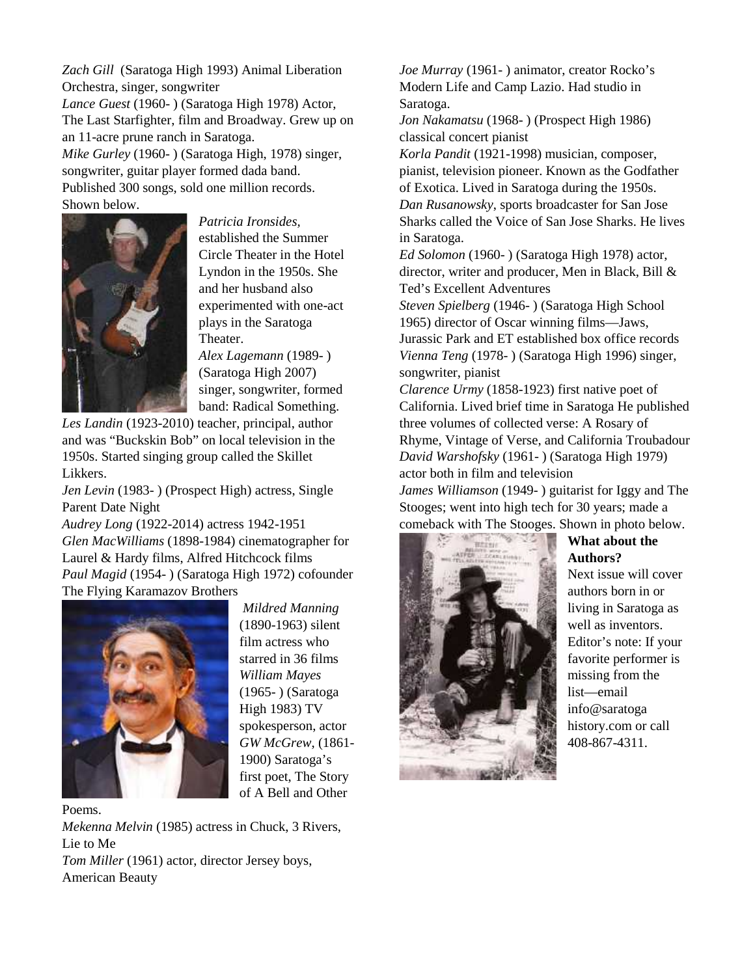*Zach Gill* (Saratoga High 1993) Animal Liberation Orchestra, singer, songwriter

*Lance Guest* (1960- ) (Saratoga High 1978) Actor, The Last Starfighter, film and Broadway. Grew up on an 11-acre prune ranch in Saratoga.

*Mike Gurley* (1960- ) (Saratoga High, 1978) singer, songwriter, guitar player formed dada band. Published 300 songs, sold one million records. Shown below.



*Patricia Ironsides,* established the Summer Circle Theater in the Hotel Lyndon in the 1950s. She and her husband also experimented with one-act plays in the Saratoga Theater.

*Alex Lagemann* (1989- ) (Saratoga High 2007) singer, songwriter, formed band: Radical Something.

*Les Landin* (1923-2010) teacher, principal, author and was "Buckskin Bob" on local television in the 1950s. Started singing group called the Skillet Likkers.

*Jen Levin* (1983- ) (Prospect High) actress, Single Parent Date Night

*Audrey Long* (1922-2014) actress 1942-1951 *Glen MacWilliams* (1898-1984) cinematographer for Laurel & Hardy films, Alfred Hitchcock films *Paul Magid* (1954- ) (Saratoga High 1972) cofounder The Flying Karamazov Brothers



*Mildred Manning* (1890-1963) silent film actress who starred in 36 films *William Mayes* (1965- ) (Saratoga High 1983) TV spokesperson, actor *GW McGrew*, (1861- 1900) Saratoga's first poet, The Story of A Bell and Other

Poems.

*Mekenna Melvin* (1985) actress in Chuck, 3 Rivers, Lie to Me *Tom Miller* (1961) actor, director Jersey boys, American Beauty

*Joe Murray* (1961- ) animator, creator Rocko's Modern Life and Camp Lazio. Had studio in Saratoga.

*Jon Nakamatsu* (1968- ) (Prospect High 1986) classical concert pianist

*Korla Pandit* (1921-1998) musician, composer, pianist, television pioneer. Known as the Godfather of Exotica. Lived in Saratoga during the 1950s. *Dan Rusanowsky*, sports broadcaster for San Jose Sharks called the Voice of San Jose Sharks. He lives in Saratoga.

*Ed Solomon* (1960- ) (Saratoga High 1978) actor, director, writer and producer, Men in Black, Bill & Ted's Excellent Adventures

*Steven Spielberg* (1946- ) (Saratoga High School 1965) director of Oscar winning films—Jaws, Jurassic Park and ET established box office records *Vienna Teng* (1978- ) (Saratoga High 1996) singer, songwriter, pianist

*Clarence Urmy* (1858-1923) first native poet of California. Lived brief time in Saratoga He published three volumes of collected verse: A Rosary of Rhyme, Vintage of Verse, and California Troubadour *David Warshofsky* (1961- ) (Saratoga High 1979) actor both in film and television

*James Williamson* (1949- ) guitarist for Iggy and The Stooges; went into high tech for 30 years; made a comeback with The Stooges. Shown in photo below.



**What about the Authors?**

Next issue will cover authors born in or living in Saratoga as well as inventors. Editor's note: If your favorite performer is missing from the list—email info@saratoga history.com or call 408-867-4311.